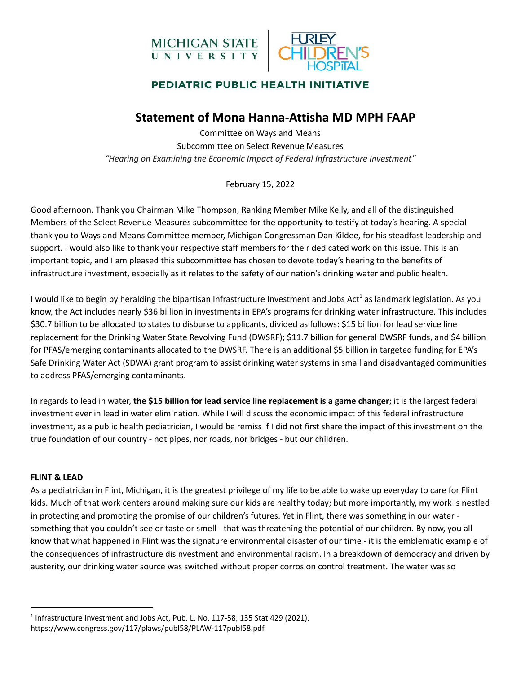



## **Statement of Mona Hanna-Attisha MD MPH FAAP**

Committee on Ways and Means Subcommittee on Select Revenue Measures *"Hearing on Examining the Economic Impact of Federal Infrastructure Investment"*

February 15, 2022

Good afternoon. Thank you Chairman Mike Thompson, Ranking Member Mike Kelly, and all of the distinguished Members of the Select Revenue Measures subcommittee for the opportunity to testify at today's hearing. A special thank you to Ways and Means Committee member, Michigan Congressman Dan Kildee, for his steadfast leadership and support. I would also like to thank your respective staff members for their dedicated work on this issue. This is an important topic, and I am pleased this subcommittee has chosen to devote today's hearing to the benefits of infrastructure investment, especially as it relates to the safety of our nation's drinking water and public health.

I would like to begin by heralding the bipartisan Infrastructure Investment and Jobs Act<sup>1</sup> as landmark legislation. As you know, the Act includes nearly \$36 billion in investments in EPA's programs for drinking water infrastructure. This includes \$30.7 billion to be allocated to states to disburse to applicants, divided as follows: \$15 billion for lead service line replacement for the Drinking Water State Revolving Fund (DWSRF); \$11.7 billion for general DWSRF funds, and \$4 billion for PFAS/emerging contaminants allocated to the DWSRF. There is an additional \$5 billion in targeted funding for EPA's Safe Drinking Water Act (SDWA) grant program to assist drinking water systems in small and disadvantaged communities to address PFAS/emerging contaminants.

In regards to lead in water, **the \$15 billion for lead service line replacement is a game changer**; it is the largest federal investment ever in lead in water elimination. While I will discuss the economic impact of this federal infrastructure investment, as a public health pediatrician, I would be remiss if I did not first share the impact of this investment on the true foundation of our country - not pipes, nor roads, nor bridges - but our children.

#### **FLINT & LEAD**

As a pediatrician in Flint, Michigan, it is the greatest privilege of my life to be able to wake up everyday to care for Flint kids. Much of that work centers around making sure our kids are healthy today; but more importantly, my work is nestled in protecting and promoting the promise of our children's futures. Yet in Flint, there was something in our water something that you couldn't see or taste or smell - that was threatening the potential of our children. By now, you all know that what happened in Flint was the signature environmental disaster of our time - it is the emblematic example of the consequences of infrastructure disinvestment and environmental racism. In a breakdown of democracy and driven by austerity, our drinking water source was switched without proper corrosion control treatment. The water was so

<sup>&</sup>lt;sup>1</sup> Infrastructure Investment and Jobs Act, Pub. L. No. 117-58, 135 Stat 429 (2021). https://www.congress.gov/117/plaws/publ58/PLAW-117publ58.pdf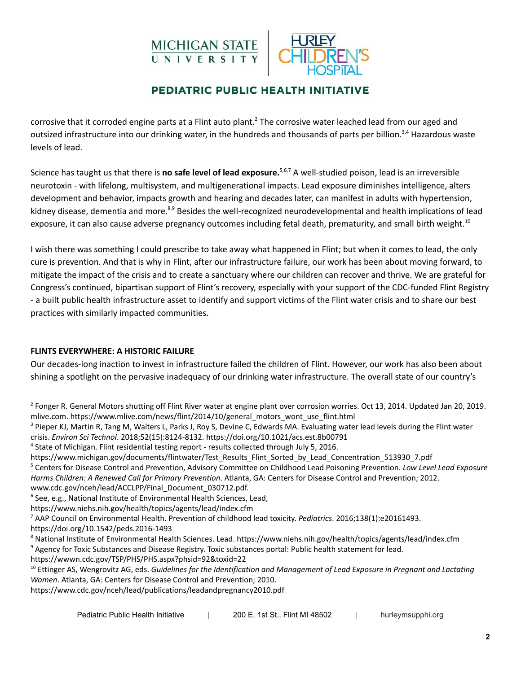# MICHIGAN STATE<br>UNIVERSITY



## PEDIATRIC PUBLIC HEALTH INITIATIVE

corrosive that it corroded engine parts at a Flint auto plant.<sup>2</sup> The corrosive water leached lead from our aged and outsized infrastructure into our drinking water, in the hundreds and thousands of parts per billion.<sup>3,4</sup> Hazardous waste levels of lead.

Science has taught us that there is **no safe level of lead exposure.**<sup>5,6,7</sup> A well-studied poison, lead is an irreversible neurotoxin - with lifelong, multisystem, and multigenerational impacts. Lead exposure diminishes intelligence, alters development and behavior, impacts growth and hearing and decades later, can manifest in adults with hypertension, kidney disease, dementia and more.<sup>8,9</sup> Besides the well-recognized neurodevelopmental and health implications of lead exposure, it can also cause adverse pregnancy outcomes including fetal death, prematurity, and small birth weight.<sup>10</sup>

I wish there was something I could prescribe to take away what happened in Flint; but when it comes to lead, the only cure is prevention. And that is why in Flint, after our infrastructure failure, our work has been about moving forward, to mitigate the impact of the crisis and to create a sanctuary where our children can recover and thrive. We are grateful for Congress's continued, bipartisan support of Flint's recovery, especially with your support of the CDC-funded Flint Registry - a built public health infrastructure asset to identify and support victims of the Flint water crisis and to share our best practices with similarly impacted communities.

#### **FLINTS EVERYWHERE: A HISTORIC FAILURE**

Our decades-long inaction to invest in infrastructure failed the children of Flint. However, our work has also been about shining a spotlight on the pervasive inadequacy of our drinking water infrastructure. The overall state of our country's

www.cdc.gov/nceh/lead/ACCLPP/Final\_Document\_030712.pdf.

https://doi.org/10.1542/peds.2016-1493

<sup>9</sup> Agency for Toxic Substances and Disease Registry. Toxic substances portal: Public health statement for lead. <sup>8</sup> National Institute of Environmental Health Sciences. Lead. https://www.niehs.nih.gov/health/topics/agents/lead/index.cfm

<sup>&</sup>lt;sup>2</sup> Fonger R. General Motors shutting off Flint River water at engine plant over corrosion worries. Oct 13, 2014. Updated Jan 20, 2019. mlive.com. https://www.mlive.com/news/flint/2014/10/general\_motors\_wont\_use\_flint.html

<sup>&</sup>lt;sup>3</sup> Pieper KJ, Martin R, Tang M, Walters L, Parks J, Roy S, Devine C, Edwards MA. Evaluating water lead levels during the Flint water crisis. *Environ Sci Technol*. 2018;52(15):8124-8132. https://doi.org/10.1021/acs.est.8b00791

<sup>4</sup> State of Michigan. Flint residential testing report - results collected through July 5, 2016.

https://www.michigan.gov/documents/flintwater/Test\_Results\_Flint\_Sorted\_by\_Lead\_Concentration\_513930\_7.pdf

<sup>5</sup> Centers for Disease Control and Prevention, Advisory Committee on Childhood Lead Poisoning Prevention. *Low Level Lead Exposure Harms Children: A Renewed Call for Primary Prevention*. Atlanta, GA: Centers for Disease Control and Prevention; 2012.

<sup>&</sup>lt;sup>6</sup> See, e.g., National Institute of Environmental Health Sciences, Lead,

https://www.niehs.nih.gov/health/topics/agents/lead/index.cfm

<sup>7</sup> AAP Council on Environmental Health. Prevention of childhood lead toxicity. *Pediatrics*. 2016;138(1):e20161493.

https://wwwn.cdc.gov/TSP/PHS/PHS.aspx?phsid=92&toxid=22

<sup>10</sup> Ettinger AS, Wengrovitz AG, eds. *Guidelines for the Identification and Management of Lead Exposure in Pregnant and Lactating Women*. Atlanta, GA: Centers for Disease Control and Prevention; 2010.

https://www.cdc.gov/nceh/lead/publications/leadandpregnancy2010.pdf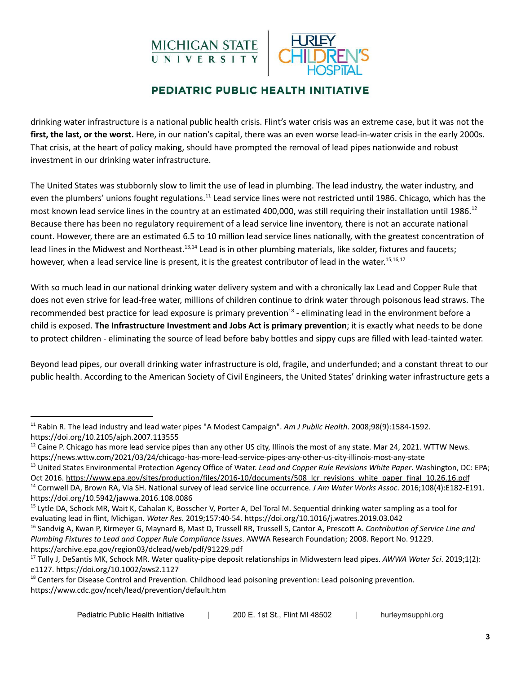



drinking water infrastructure is a national public health crisis. Flint's water crisis was an extreme case, but it was not the **first, the last, or the worst.** Here, in our nation's capital, there was an even worse lead-in-water crisis in the early 2000s. That crisis, at the heart of policy making, should have prompted the removal of lead pipes nationwide and robust investment in our drinking water infrastructure.

The United States was stubbornly slow to limit the use of lead in plumbing. The lead industry, the water industry, and even the plumbers' unions fought regulations.<sup>11</sup> Lead service lines were not restricted until 1986. Chicago, which has the most known lead service lines in the country at an estimated 400,000, was still requiring their installation until 1986.<sup>12</sup> Because there has been no regulatory requirement of a lead service line inventory, there is not an accurate national count. However, there are an estimated 6.5 to 10 million lead service lines nationally, with the greatest concentration of lead lines in the Midwest and Northeast.<sup>13,14</sup> Lead is in other plumbing materials, like solder, fixtures and faucets; however, when a lead service line is present, it is the greatest contributor of lead in the water.<sup>15,16,17</sup>

With so much lead in our national drinking water delivery system and with a chronically lax Lead and Copper Rule that does not even strive for lead-free water, millions of children continue to drink water through poisonous lead straws. The recommended best practice for lead exposure is primary prevention<sup>18</sup> - eliminating lead in the environment before a child is exposed. **The Infrastructure Investment and Jobs Act is primary prevention**; it is exactly what needs to be done to protect children - eliminating the source of lead before baby bottles and sippy cups are filled with lead-tainted water.

Beyond lead pipes, our overall drinking water infrastructure is old, fragile, and underfunded; and a constant threat to our public health. According to the American Society of Civil Engineers, the United States' drinking water infrastructure gets a

<sup>13</sup> United States Environmental Protection Agency Office of Water. *Lead and Copper Rule Revisions White Paper*. Washington, DC: EPA; Oct 2016. https://www.epa.gov/sites/production/files/2016-10/documents/508 Icr\_revisions\_white\_paper\_final\_10.26.16.pdf

<sup>11</sup> Rabin R. The lead industry and lead water pipes "A Modest Campaign". *Am J Public Health*. 2008;98(9):1584-1592. https://doi.org/10.2105/ajph.2007.113555

 $12$  Caine P. Chicago has more lead service pipes than any other US city, Illinois the most of any state. Mar 24, 2021. WTTW News. https://news.wttw.com/2021/03/24/chicago-has-more-lead-service-pipes-any-other-us-city-illinois-most-any-state

<sup>14</sup> Cornwell DA, Brown RA, Via SH. National survey of lead service line occurrence. *J Am Water Works Assoc*. 2016;108(4):E182-E191. <https://doi.org/10.5942/jawwa.2016.108.0086>

<sup>&</sup>lt;sup>15</sup> Lytle DA, Schock MR, Wait K, Cahalan K, Bosscher V, Porter A, Del Toral M. Sequential drinking water sampling as a tool for evaluating lead in flint, Michigan. *Water Res*. 2019;157:40-54. https://doi.org/10.1016/j.watres.2019.03.042

<sup>16</sup> Sandvig A, Kwan P, Kirmeyer G, Maynard B, Mast D, Trussell RR, Trussell S, Cantor A, Prescott A. *Contribution of Service Line and Plumbing Fixtures to Lead and Copper Rule Compliance Issues*. AWWA Research Foundation; 2008. Report No. 91229. https://archive.epa.gov/region03/dclead/web/pdf/91229.pdf

<sup>17</sup> Tully J, DeSantis MK, Schock MR. Water quality-pipe deposit relationships in Midwestern lead pipes. *AWWA Water Sci*. 2019;1(2): e1127. https://doi.org/10.1002/aws2.1127

<sup>&</sup>lt;sup>18</sup> Centers for Disease Control and Prevention. Childhood lead poisoning prevention: Lead poisoning prevention. https://www.cdc.gov/nceh/lead/prevention/default.htm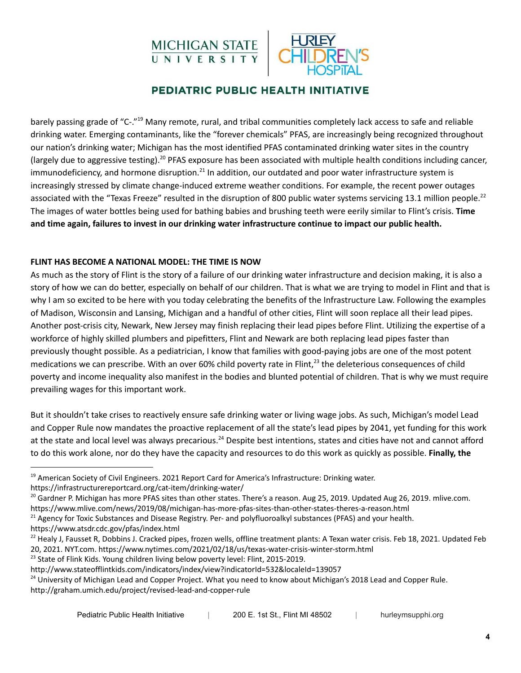



barely passing grade of "C-."<sup>19</sup> Many remote, rural, and tribal communities completely lack access to safe and reliable drinking water. Emerging contaminants, like the "forever chemicals" PFAS, are increasingly being recognized throughout our nation's drinking water; Michigan has the most identified PFAS contaminated drinking water sites in the country (largely due to aggressive testing).<sup>20</sup> PFAS exposure has been associated with multiple health conditions including cancer, immunodeficiency, and hormone disruption.<sup>21</sup> In addition, our outdated and poor water infrastructure system is increasingly stressed by climate change-induced extreme weather conditions. For example, the recent power outages associated with the "Texas Freeze" resulted in the disruption of 800 public water systems servicing 13.1 million people.<sup>22</sup> The images of water bottles being used for bathing babies and brushing teeth were eerily similar to Flint's crisis. **Time** and time again, failures to invest in our drinking water infrastructure continue to impact our public health.

#### **FLINT HAS BECOME A NATIONAL MODEL: THE TIME IS NOW**

As much as the story of Flint is the story of a failure of our drinking water infrastructure and decision making, it is also a story of how we can do better, especially on behalf of our children. That is what we are trying to model in Flint and that is why I am so excited to be here with you today celebrating the benefits of the Infrastructure Law. Following the examples of Madison, Wisconsin and Lansing, Michigan and a handful of other cities, Flint will soon replace all their lead pipes. Another post-crisis city, Newark, New Jersey may finish replacing their lead pipes before Flint. Utilizing the expertise of a workforce of highly skilled plumbers and pipefitters, Flint and Newark are both replacing lead pipes faster than previously thought possible. As a pediatrician, I know that families with good-paying jobs are one of the most potent medications we can prescribe. With an over 60% child poverty rate in Flint,<sup>23</sup> the deleterious consequences of child poverty and income inequality also manifest in the bodies and blunted potential of children. That is why we must require prevailing wages for this important work.

But it shouldn't take crises to reactively ensure safe drinking water or living wage jobs. As such, Michigan's model Lead and Copper Rule now mandates the proactive replacement of all the state's lead pipes by 2041, yet funding for this work at the state and local level was always precarious.<sup>24</sup> Despite best intentions, states and cities have not and cannot afford to do this work alone, nor do they have the capacity and resources to do this work as quickly as possible. **Finally, the**

https://www.atsdr.cdc.gov/pfas/index.html

<sup>23</sup> State of Flink Kids. Young children living below poverty level: Flint, 2015-2019.

<sup>&</sup>lt;sup>19</sup> American Society of Civil Engineers. 2021 Report Card for America's Infrastructure: Drinking water. https://infrastructurereportcard.org/cat-item/drinking-water/

 $^{20}$  Gardner P. Michigan has more PFAS sites than other states. There's a reason. Aug 25, 2019. Updated Aug 26, 2019. mlive.com.

https://www.mlive.com/news/2019/08/michigan-has-more-pfas-sites-than-other-states-theres-a-reason.html

 $21$  Agency for Toxic Substances and Disease Registry. Per- and polyfluoroalkyl substances (PFAS) and your health.

 $^{22}$  Healy J, Fausset R, Dobbins J. Cracked pipes, frozen wells, offline treatment plants: A Texan water crisis. Feb 18, 2021. Updated Feb 20, 2021. NYT.com. https://www.nytimes.com/2021/02/18/us/texas-water-crisis-winter-storm.html

http://www.stateofflintkids.com/indicators/index/view?indicatorId=532&localeId=139057

<sup>&</sup>lt;sup>24</sup> University of Michigan Lead and Copper Project. What you need to know about Michigan's 2018 Lead and Copper Rule. http://graham.umich.edu/project/revised-lead-and-copper-rule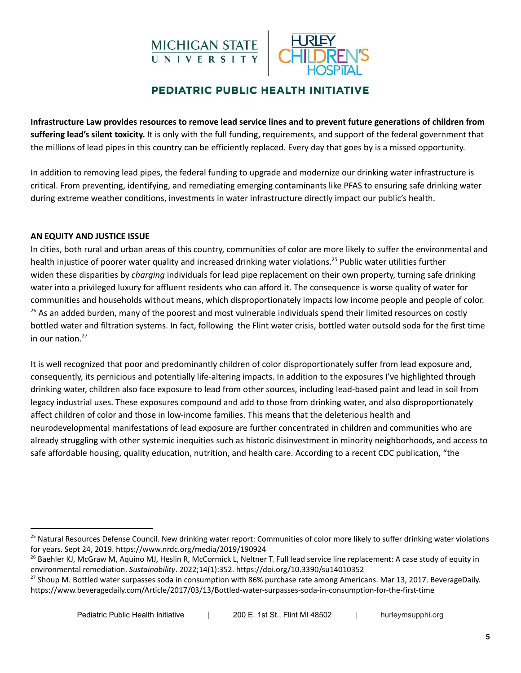

Infrastructure Law provides resources to remove lead service lines and to prevent future generations of children from **suffering lead's silent toxicity.** It is only with the full funding, requirements, and support of the federal government that the millions of lead pipes in this country can be efficiently replaced. Every day that goes by is a missed opportunity.

In addition to removing lead pipes, the federal funding to upgrade and modernize our drinking water infrastructure is critical. From preventing, identifying, and remediating emerging contaminants like PFAS to ensuring safe drinking water during extreme weather conditions, investments in water infrastructure directly impact our public's health.

#### **AN EQUITY AND JUSTICE ISSUE**

In cities, both rural and urban areas of this country, communities of color are more likely to suffer the environmental and health injustice of poorer water quality and increased drinking water violations.<sup>25</sup> Public water utilities further widen these disparities by *charging* individuals for lead pipe replacement on their own property, turning safe drinking water into a privileged luxury for affluent residents who can afford it. The consequence is worse quality of water for communities and households without means, which disproportionately impacts low income people and people of color.  $^{26}$  As an added burden, many of the poorest and most vulnerable individuals spend their limited resources on costly bottled water and filtration systems. In fact, following the Flint water crisis, bottled water outsold soda for the first time in our nation. 27

It is well recognized that poor and predominantly children of color disproportionately suffer from lead exposure and, consequently, its pernicious and potentially life-altering impacts. In addition to the exposures I've highlighted through drinking water, children also face exposure to lead from other sources, including lead-based paint and lead in soil from legacy industrial uses. These exposures compound and add to those from drinking water, and also disproportionately affect children of color and those in low-income families. This means that the deleterious health and neurodevelopmental manifestations of lead exposure are further concentrated in children and communities who are already struggling with other systemic inequities such as historic disinvestment in minority neighborhoods, and access to safe affordable housing, quality education, nutrition, and health care. According to a recent CDC publication, "the

<sup>&</sup>lt;sup>25</sup> Natural Resources Defense Council. New drinking water report: Communities of color more likely to suffer drinking water violations for years. Sept 24, 2019. https://www.nrdc.org/media/2019/190924

<sup>&</sup>lt;sup>26</sup> Baehler KJ, McGraw M, Aquino MJ, Heslin R, McCormick L, Neltner T. Full lead service line replacement: A case study of equity in environmental remediation. *Sustainability*. 2022;14(1):352. https://doi.org/10.3390/su14010352

<sup>&</sup>lt;sup>27</sup> Shoup M. Bottled water surpasses soda in consumption with 86% purchase rate among Americans. Mar 13, 2017. BeverageDaily. https://www.beveragedaily.com/Article/2017/03/13/Bottled-water-surpasses-soda-in-consumption-for-the-first-time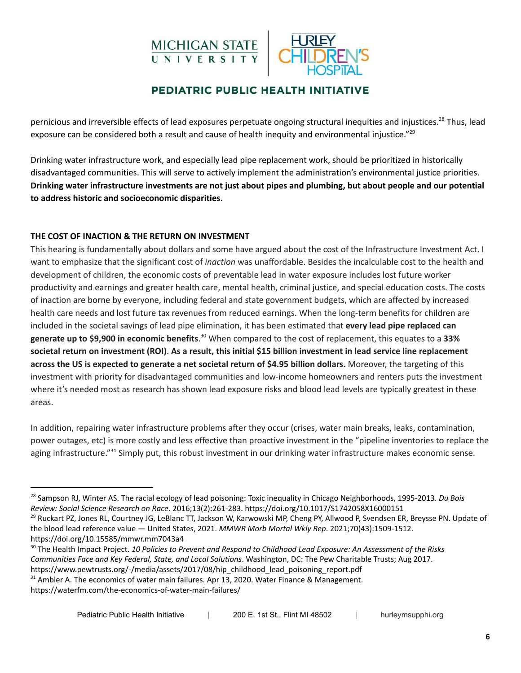# MICHIGAN STATE<br>UNIVERSITY



## PEDIATRIC PUBLIC HEALTH INITIATIVE

pernicious and irreversible effects of lead exposures perpetuate ongoing structural inequities and injustices.<sup>28</sup> Thus, lead exposure can be considered both a result and cause of health inequity and environmental injustice."<sup>29</sup>

Drinking water infrastructure work, and especially lead pipe replacement work, should be prioritized in historically disadvantaged communities. This will serve to actively implement the administration's environmental justice priorities. Drinking water infrastructure investments are not just about pipes and plumbing, but about people and our potential **to address historic and socioeconomic disparities.**

#### **THE COST OF INACTION & THE RETURN ON INVESTMENT**

This hearing is fundamentally about dollars and some have argued about the cost of the Infrastructure Investment Act. I want to emphasize that the significant cost of *inaction* was unaffordable. Besides the incalculable cost to the health and development of children, the economic costs of preventable lead in water exposure includes lost future worker productivity and earnings and greater health care, mental health, criminal justice, and special education costs. The costs of inaction are borne by everyone, including federal and state government budgets, which are affected by increased health care needs and lost future tax revenues from reduced earnings. When the long-term benefits for children are included in the societal savings of lead pipe elimination, it has been estimated that **every lead pipe replaced can generate up to \$9,900 in economic benefits**.<sup>30</sup> When compared to the cost of replacement, this equates to a 33% societal return on investment (ROI). As a result, this initial \$15 billion investment in lead service line replacement **across the US is expected to generate a net societal return of \$4.95 billion dollars.** Moreover, the targeting of this investment with priority for disadvantaged communities and low-income homeowners and renters puts the investment where it's needed most as research has shown lead exposure risks and blood lead levels are typically greatest in these areas.

In addition, repairing water infrastructure problems after they occur (crises, water main breaks, leaks, contamination, power outages, etc) is more costly and less effective than proactive investment in the "pipeline inventories to replace the aging infrastructure."<sup>31</sup> Simply put, this robust investment in our drinking water infrastructure makes economic sense.

<sup>28</sup> Sampson RJ, Winter AS. The racial ecology of lead poisoning: Toxic inequality in Chicago Neighborhoods, 1995-2013. *Du Bois Review: Social Science Research on Race*. 2016;13(2):261-283. https://doi.org/10.1017/S1742058X16000151

<sup>&</sup>lt;sup>29</sup> Ruckart PZ, Jones RL, Courtney JG, LeBlanc TT, Jackson W, Karwowski MP, Cheng PY, Allwood P, Svendsen ER, Breysse PN. Update of the blood lead reference value — United States, 2021. *MMWR Morb Mortal Wkly Rep*. 2021;70(43):1509-1512. https://doi.org/10.15585/mmwr.mm7043a4

<sup>30</sup> The Health Impact Project. *10 Policies to Prevent and Respond to Childhood Lead Exposure: An Assessment of the Risks Communities Face and Key Federal, State, and Local Solutions*. Washington, DC: The Pew Charitable Trusts; Aug 2017. https://www.pewtrusts.org/-/media/assets/2017/08/hip\_childhood\_lead\_poisoning\_report.pdf

<sup>&</sup>lt;sup>31</sup> Ambler A. The economics of water main failures. Apr 13, 2020. Water Finance & Management.

https://waterfm.com/the-economics-of-water-main-failures/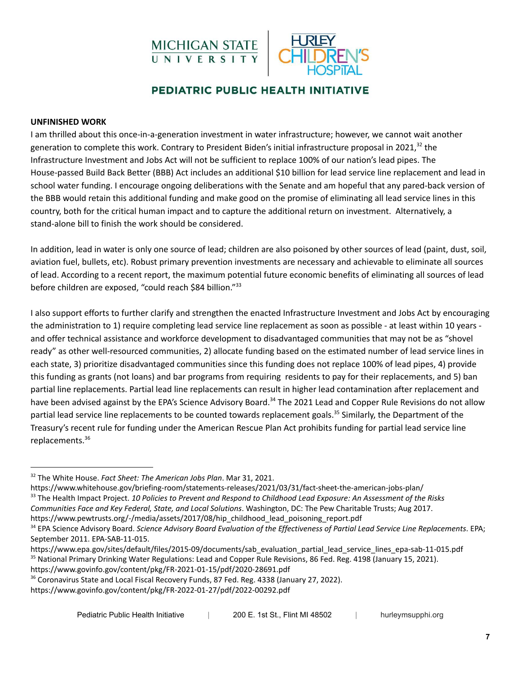



#### **UNFINISHED WORK**

I am thrilled about this once-in-a-generation investment in water infrastructure; however, we cannot wait another generation to complete this work. Contrary to President Biden's initial infrastructure proposal in 2021,<sup>32</sup> the Infrastructure Investment and Jobs Act will not be sufficient to replace 100% of our nation's lead pipes. The House-passed Build Back Better (BBB) Act includes an additional \$10 billion for lead service line replacement and lead in school water funding. I encourage ongoing deliberations with the Senate and am hopeful that any pared-back version of the BBB would retain this additional funding and make good on the promise of eliminating all lead service lines in this country, both for the critical human impact and to capture the additional return on investment. Alternatively, a stand-alone bill to finish the work should be considered.

In addition, lead in water is only one source of lead; children are also poisoned by other sources of lead (paint, dust, soil, aviation fuel, bullets, etc). Robust primary prevention investments are necessary and achievable to eliminate all sources of lead. According to a recent report, the maximum potential future economic benefits of eliminating all sources of lead before children are exposed, "could reach \$84 billion."<sup>33</sup>

I also support efforts to further clarify and strengthen the enacted Infrastructure Investment and Jobs Act by encouraging the administration to 1) require completing lead service line replacement as soon as possible - at least within 10 years and offer technical assistance and workforce development to disadvantaged communities that may not be as "shovel ready" as other well-resourced communities, 2) allocate funding based on the estimated number of lead service lines in each state, 3) prioritize disadvantaged communities since this funding does not replace 100% of lead pipes, 4) provide this funding as grants (not loans) and bar programs from requiring residents to pay for their replacements, and 5) ban partial line replacements. Partial lead line replacements can result in higher lead contamination after replacement and have been advised against by the EPA's Science Advisory Board.<sup>34</sup> The 2021 Lead and Copper Rule Revisions do not allow partial lead service line replacements to be counted towards replacement goals.<sup>35</sup> Similarly, the Department of the Treasury's recent rule for funding under the American Rescue Plan Act prohibits funding for partial lead service line replacements. 36

<sup>33</sup> The Health Impact Project. *10 Policies to Prevent and Respond to Childhood Lead Exposure: An Assessment of the Risks Communities Face and Key Federal, State, and Local Solutions*. Washington, DC: The Pew Charitable Trusts; Aug 2017. https://www.whitehouse.gov/briefing-room/statements-releases/2021/03/31/fact-sheet-the-american-jobs-plan/

https://www.pewtrusts.org/-/media/assets/2017/08/hip\_childhood\_lead\_poisoning\_report.pdf

<sup>32</sup> The White House. *Fact Sheet: The American Jobs Plan*. Mar 31, 2021.

<sup>34</sup> EPA Science Advisory Board. *Science Advisory Board Evaluation of the Effectiveness of Partial Lead Service Line Replacements*. EPA; September 2011. EPA-SAB-11-015.

<sup>&</sup>lt;sup>35</sup> National Primary Drinking Water Regulations: Lead and Copper Rule Revisions, 86 Fed. Reg. 4198 (January 15, 2021). https://www.govinfo.gov/content/pkg/FR-2021-01-15/pdf/2020-28691.pdf https://www.epa.gov/sites/default/files/2015-09/documents/sab\_evaluation\_partial\_lead\_service\_lines\_epa-sab-11-015.pdf

<sup>&</sup>lt;sup>36</sup> Coronavirus State and Local Fiscal Recovery Funds, 87 Fed. Reg. 4338 (January 27, 2022).

https://www.govinfo.gov/content/pkg/FR-2022-01-27/pdf/2022-00292.pdf